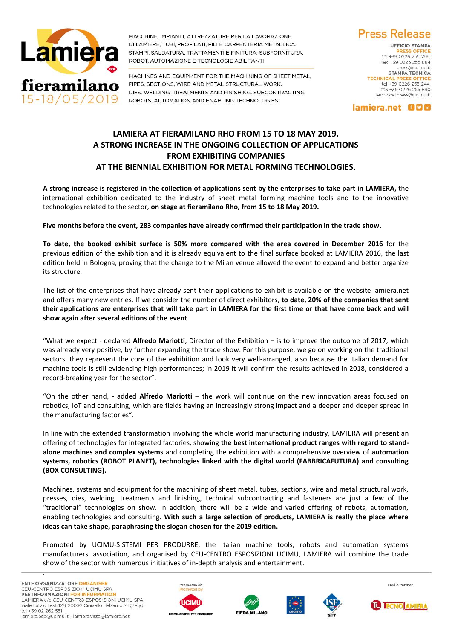

MACCHINE, IMPIANTI, ATTREZZATURE PER LA LAVORAZIONE DI LAMIERE, TUBI, PROFILATI, FILI E CARPENTERIA METALLICA. STAMPI, SALDATURA, TRATTAMENTI E FINITURA, SUBFORNITURA, ROBOT, AUTOMAZIONE E TECNOLOGIE ABILITANTI.

MACHINES AND EQUIPMENT FOR THE MACHINING OF SHEET METAL. PIPES, SECTIONS, WIRE AND METAL STRUCTURAL WORK. DIES, WELDING, TREATMENTS AND FINISHING, SUBCONTRACTING. ROBOTS, AUTOMATION AND ENABLING TECHNOLOGIES.

**Press Release UFFICIO STAMPA** tel +39 0226 255 299.

fax +39 0226 255 884 press@ucimu it **STAMPA TECNICA** TECHNICAL PRESS OFFICE<br>tel +39 0226 255 244, fax +39 0226 255 890 technical.press@ucimu.it

lamiera.net 000

## **LAMIERA AT FIERAMILANO RHO FROM 15 TO 18 MAY 2019. A STRONG INCREASE IN THE ONGOING COLLECTION OF APPLICATIONS FROM EXHIBITING COMPANIES AT THE BIENNIAL EXHIBITION FOR METAL FORMING TECHNOLOGIES.**

**A strong increase is registered in the collection of applications sent by the enterprises to take part in LAMIERA,** the international exhibition dedicated to the industry of sheet metal forming machine tools and to the innovative technologies related to the sector, **on stage at fieramilano Rho, from 15 to 18 May 2019.**

**Five months before the event, 283 companies have already confirmed their participation in the trade show.**

**To date, the booked exhibit surface is 50% more compared with the area covered in December 2016** for the previous edition of the exhibition and it is already equivalent to the final surface booked at LAMIERA 2016, the last edition held in Bologna, proving that the change to the Milan venue allowed the event to expand and better organize its structure.

The list of the enterprises that have already sent their applications to exhibit is available on the website lamiera.net and offers many new entries. If we consider the number of direct exhibitors, **to date, 20% of the companies that sent their applications are enterprises that will take part in LAMIERA for the first time or that have come back and will show again after several editions of the event**.

"What we expect - declared **Alfredo Mariotti**, Director of the Exhibition – is to improve the outcome of 2017, which was already very positive, by further expanding the trade show. For this purpose, we go on working on the traditional sectors: they represent the core of the exhibition and look very well-arranged, also because the Italian demand for machine tools is still evidencing high performances; in 2019 it will confirm the results achieved in 2018, considered a record-breaking year for the sector".

"On the other hand, - added **Alfredo Mariotti** – the work will continue on the new innovation areas focused on robotics, IoT and consulting, which are fields having an increasingly strong impact and a deeper and deeper spread in the manufacturing factories".

In line with the extended transformation involving the whole world manufacturing industry, LAMIERA will present an offering of technologies for integrated factories, showing **the best international product ranges with regard to standalone machines and complex systems** and completing the exhibition with a comprehensive overview of **automation systems, robotics (ROBOT PLANET), technologies linked with the digital world (FABBRICAFUTURA) and consulting (BOX CONSULTING).**

Machines, systems and equipment for the machining of sheet metal, tubes, sections, wire and metal structural work, presses, dies, welding, treatments and finishing, technical subcontracting and fasteners are just a few of the "traditional" technologies on show. In addition, there will be a wide and varied offering of robots, automation, enabling technologies and consulting. **With such a large selection of products, LAMIERA is really the place where ideas can take shape, paraphrasing the slogan chosen for the 2019 edition.**

Promoted by UCIMU-SISTEMI PER PRODURRE, the Italian machine tools, robots and automation systems manufacturers' association, and organised by CEU-CENTRO ESPOSIZIONI UCIMU, LAMIERA will combine the trade show of the sector with numerous initiatives of in-depth analysis and entertainment.

.











Media Partner